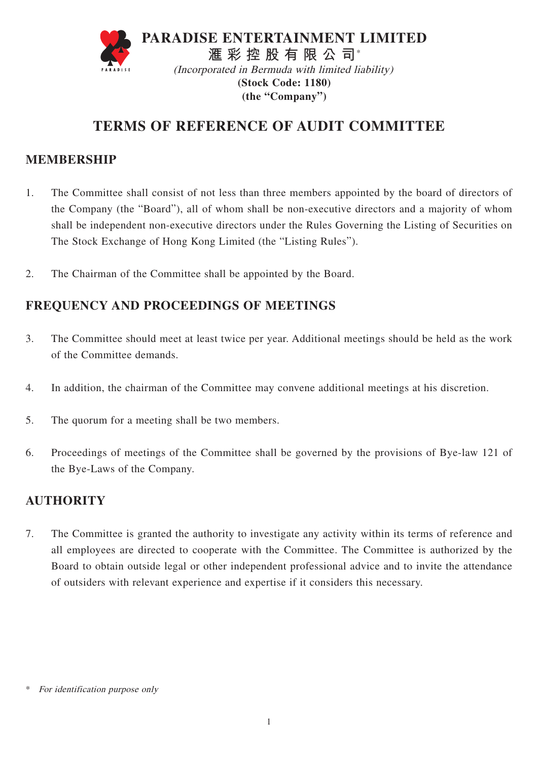

**(the "Company")** 

# **TERMS OF REFERENCE OF AUDIT COMMITTEE**

## **MEMBERSHIP**

- 1. The Committee shall consist of not less than three members appointed by the board of directors of the Company (the "Board"), all of whom shall be non-executive directors and a majority of whom shall be independent non-executive directors under the Rules Governing the Listing of Securities on The Stock Exchange of Hong Kong Limited (the "Listing Rules").
- 2. The Chairman of the Committee shall be appointed by the Board.

# **FREQUENCY AND PROCEEDINGS OF MEETINGS**

- 3. The Committee should meet at least twice per year. Additional meetings should be held as the work of the Committee demands.
- 4. In addition, the chairman of the Committee may convene additional meetings at his discretion.
- 5. The quorum for a meeting shall be two members.
- 6. Proceedings of meetings of the Committee shall be governed by the provisions of Bye-law 121 of the Bye-Laws of the Company.

## **AUTHORITY**

7. The Committee is granted the authority to investigate any activity within its terms of reference and all employees are directed to cooperate with the Committee. The Committee is authorized by the Board to obtain outside legal or other independent professional advice and to invite the attendance of outsiders with relevant experience and expertise if it considers this necessary.

For identification purpose only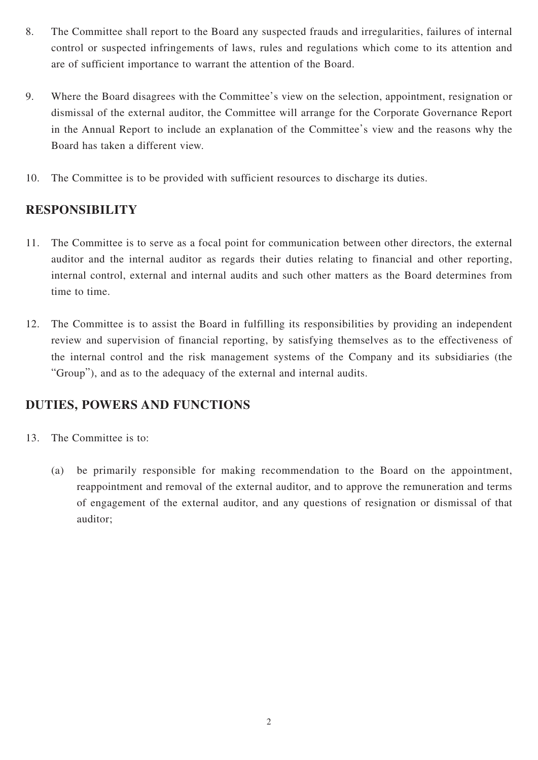- 8. The Committee shall report to the Board any suspected frauds and irregularities, failures of internal control or suspected infringements of laws, rules and regulations which come to its attention and are of sufficient importance to warrant the attention of the Board.
- 9. Where the Board disagrees with the Committee's view on the selection, appointment, resignation or dismissal of the external auditor, the Committee will arrange for the Corporate Governance Report in the Annual Report to include an explanation of the Committee's view and the reasons why the Board has taken a different view.
- 10. The Committee is to be provided with sufficient resources to discharge its duties.

#### **RESPONSIBILITY**

- 11. The Committee is to serve as a focal point for communication between other directors, the external auditor and the internal auditor as regards their duties relating to financial and other reporting, internal control, external and internal audits and such other matters as the Board determines from time to time.
- 12. The Committee is to assist the Board in fulfilling its responsibilities by providing an independent review and supervision of financial reporting, by satisfying themselves as to the effectiveness of the internal control and the risk management systems of the Company and its subsidiaries (the "Group"), and as to the adequacy of the external and internal audits.

## **DUTIES, POWERS AND FUNCTIONS**

- 13. The Committee is to:
	- (a) be primarily responsible for making recommendation to the Board on the appointment, reappointment and removal of the external auditor, and to approve the remuneration and terms of engagement of the external auditor, and any questions of resignation or dismissal of that auditor;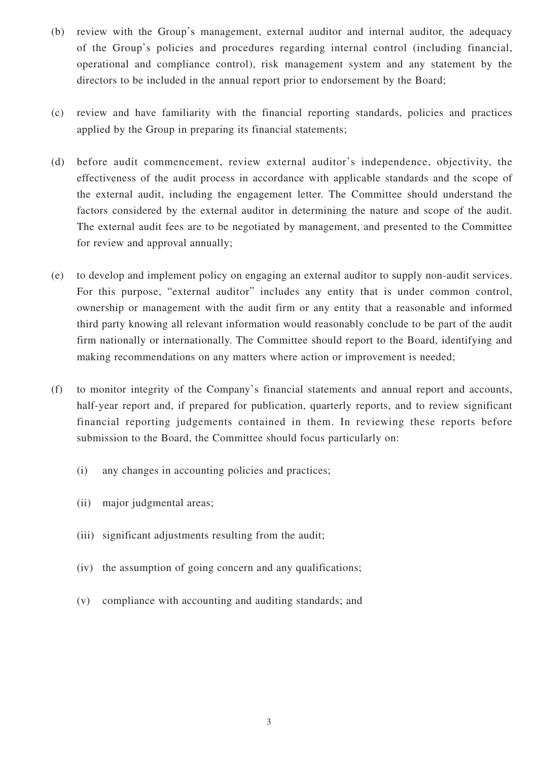- (b) review with the Group's management, external auditor and internal auditor, the adequacy of the Group's policies and procedures regarding internal control (including financial, operational and compliance control), risk management system and any statement by the directors to be included in the annual report prior to endorsement by the Board;
- (c) review and have familiarity with the financial reporting standards, policies and practices applied by the Group in preparing its financial statements;
- (d) before audit commencement, review external auditor's independence, objectivity, the effectiveness of the audit process in accordance with applicable standards and the scope of the external audit, including the engagement letter. The Committee should understand the factors considered by the external auditor in determining the nature and scope of the audit. The external audit fees are to be negotiated by management, and presented to the Committee for review and approval annually;
- (e) to develop and implement policy on engaging an external auditor to supply non-audit services. For this purpose, "external auditor" includes any entity that is under common control, ownership or management with the audit firm or any entity that a reasonable and informed third party knowing all relevant information would reasonably conclude to be part of the audit firm nationally or internationally. The Committee should report to the Board, identifying and making recommendations on any matters where action or improvement is needed;
- (f) to monitor integrity of the Company's financial statements and annual report and accounts, half-year report and, if prepared for publication, quarterly reports, and to review significant financial reporting judgements contained in them. In reviewing these reports before submission to the Board, the Committee should focus particularly on:
	- (i) any changes in accounting policies and practices;
	- (ii) major judgmental areas;
	- (iii) significant adjustments resulting from the audit;
	- (iv) the assumption of going concern and any qualifications;
	- (v) compliance with accounting and auditing standards; and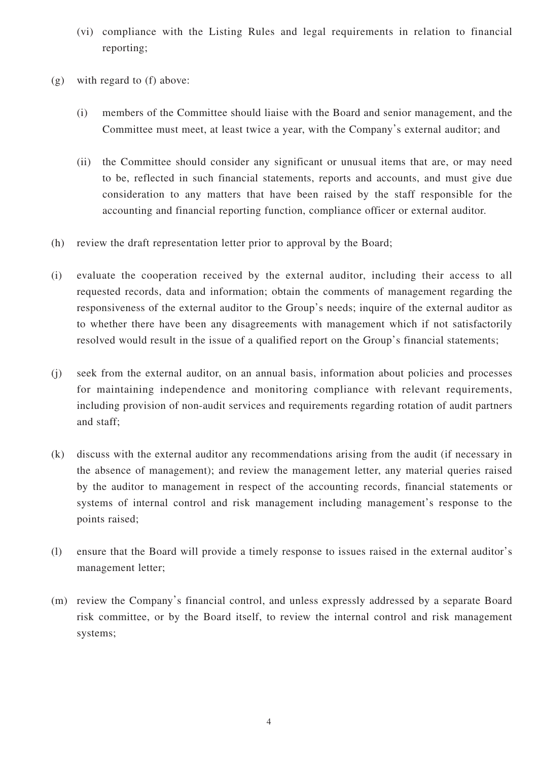- (vi) compliance with the Listing Rules and legal requirements in relation to financial reporting;
- (g) with regard to (f) above:
	- (i) members of the Committee should liaise with the Board and senior management, and the Committee must meet, at least twice a year, with the Company's external auditor; and
	- (ii) the Committee should consider any significant or unusual items that are, or may need to be, reflected in such financial statements, reports and accounts, and must give due consideration to any matters that have been raised by the staff responsible for the accounting and financial reporting function, compliance officer or external auditor.
- (h) review the draft representation letter prior to approval by the Board;
- (i) evaluate the cooperation received by the external auditor, including their access to all requested records, data and information; obtain the comments of management regarding the responsiveness of the external auditor to the Group's needs; inquire of the external auditor as to whether there have been any disagreements with management which if not satisfactorily resolved would result in the issue of a qualified report on the Group's financial statements;
- (j) seek from the external auditor, on an annual basis, information about policies and processes for maintaining independence and monitoring compliance with relevant requirements, including provision of non-audit services and requirements regarding rotation of audit partners and staff;
- (k) discuss with the external auditor any recommendations arising from the audit (if necessary in the absence of management); and review the management letter, any material queries raised by the auditor to management in respect of the accounting records, financial statements or systems of internal control and risk management including management's response to the points raised;
- (l) ensure that the Board will provide a timely response to issues raised in the external auditor's management letter;
- (m) review the Company's financial control, and unless expressly addressed by a separate Board risk committee, or by the Board itself, to review the internal control and risk management systems;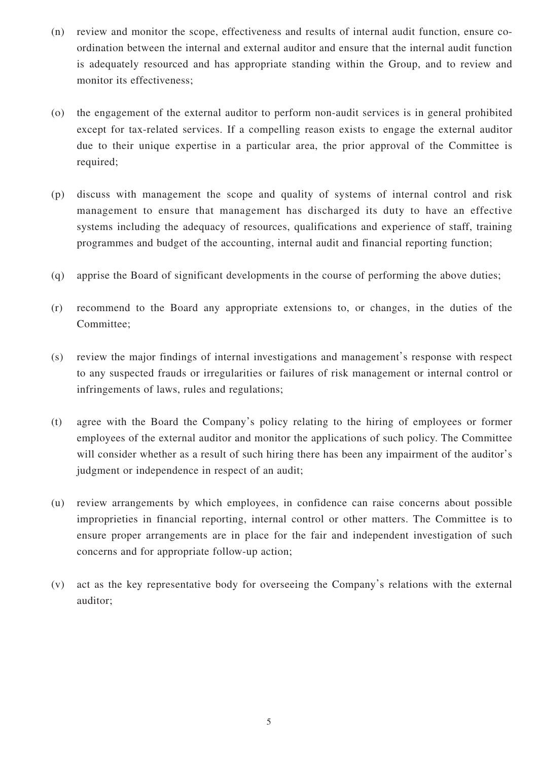- (n) review and monitor the scope, effectiveness and results of internal audit function, ensure coordination between the internal and external auditor and ensure that the internal audit function is adequately resourced and has appropriate standing within the Group, and to review and monitor its effectiveness;
- (o) the engagement of the external auditor to perform non-audit services is in general prohibited except for tax-related services. If a compelling reason exists to engage the external auditor due to their unique expertise in a particular area, the prior approval of the Committee is required;
- (p) discuss with management the scope and quality of systems of internal control and risk management to ensure that management has discharged its duty to have an effective systems including the adequacy of resources, qualifications and experience of staff, training programmes and budget of the accounting, internal audit and financial reporting function;
- (q) apprise the Board of significant developments in the course of performing the above duties;
- (r) recommend to the Board any appropriate extensions to, or changes, in the duties of the Committee;
- (s) review the major findings of internal investigations and management's response with respect to any suspected frauds or irregularities or failures of risk management or internal control or infringements of laws, rules and regulations;
- (t) agree with the Board the Company's policy relating to the hiring of employees or former employees of the external auditor and monitor the applications of such policy. The Committee will consider whether as a result of such hiring there has been any impairment of the auditor's judgment or independence in respect of an audit;
- (u) review arrangements by which employees, in confidence can raise concerns about possible improprieties in financial reporting, internal control or other matters. The Committee is to ensure proper arrangements are in place for the fair and independent investigation of such concerns and for appropriate follow-up action;
- (v) act as the key representative body for overseeing the Company's relations with the external auditor;